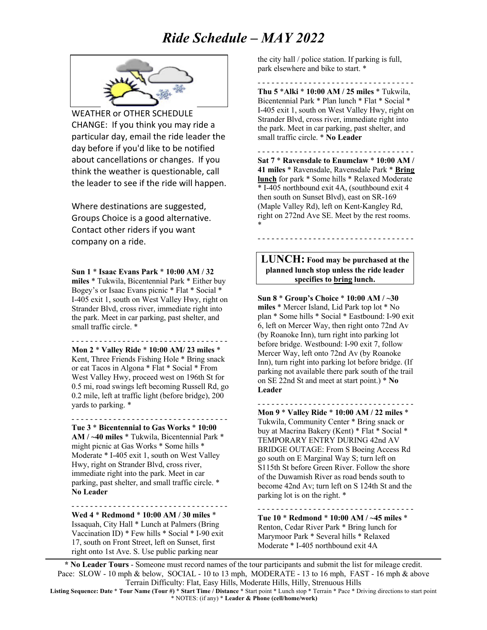

WEATHER or OTHER SCHEDULE CHANGE: If you think you may ride a particular day, email the ride leader the day before if you'd like to be notified about cancellations or changes. If you think the weather is questionable, call the leader to see if the ride will happen.

Where destinations are suggested, Groups Choice is a good alternative. Contact other riders if you want company on a ride.

**Sun 1** \* **Isaac Evans Park** \* **10:00 AM / 32 miles** \* Tukwila, Bicentennial Park \* Either buy Bogey's or Isaac Evans picnic \* Flat \* Social \* I-405 exit 1, south on West Valley Hwy, right on Strander Blvd, cross river, immediate right into the park. Meet in car parking, past shelter, and small traffic circle. \*

- - - - - - - - - - - - - - - - - - - - - - - - - - - - - - - - - - **Mon 2** \* **Valley Ride** \* **10:00 AM/ 23 miles** \* Kent, Three Friends Fishing Hole \* Bring snack or eat Tacos in Algona \* Flat \* Social \* From West Valley Hwy, proceed west on 196th St for 0.5 mi, road swings left becoming Russell Rd, go 0.2 mile, left at traffic light (before bridge), 200 yards to parking. \*

- - - - - - - - - - - - - - - - - - - - - - - - - - - - - - - - - -

**Tue 3** \* **Bicentennial to Gas Works** \* **10:00 AM / ~40 miles** \* Tukwila, Bicentennial Park \* might picnic at Gas Works \* Some hills \* Moderate \* I-405 exit 1, south on West Valley Hwy, right on Strander Blvd, cross river, immediate right into the park. Meet in car parking, past shelter, and small traffic circle. \* **No Leader**

**Wed 4** \* **Redmond** \* **10:00 AM / 30 miles** \* Issaquah, City Hall \* Lunch at Palmers (Bring Vaccination ID) \* Few hills \* Social \* I-90 exit 17, south on Front Street, left on Sunset, first right onto 1st Ave. S. Use public parking near

- - - - - - - - - - - - - - - - - - - - - - - - - - - - - - - - - -

the city hall / police station. If parking is full, park elsewhere and bike to start. \*

- - - - - - - - - - - - - - - - - - - - - - - - - - - - - - - - - - **Thu 5** \***Alki** \* **10:00 AM / 25 miles** \* Tukwila, Bicentennial Park \* Plan lunch \* Flat \* Social \* I-405 exit 1, south on West Valley Hwy, right on Strander Blvd, cross river, immediate right into the park. Meet in car parking, past shelter, and small traffic circle. \* **No Leader**

- - - - - - - - - - - - - - - - - - - - - - - - - - - - - - - - - -

- - - - - - - - - - - - - - - - - - - - - - - - - - - - - - - - - -

**Sat 7** \* **Ravensdale to Enumclaw** \* **10:00 AM / 41 miles** \* Ravensdale, Ravensdale Park \* **Bring lunch** for park \* Some hills \* Relaxed Moderate \* I-405 northbound exit 4A, (southbound exit 4 then south on Sunset Blvd), east on SR-169 (Maple Valley Rd), left on Kent-Kangley Rd, right on 272nd Ave SE. Meet by the rest rooms. \*

**LUNCH: Food may be purchased at the planned lunch stop unless the ride leader specifies to bring lunch.**

**Sun 8** \* **Group's Choice** \* **10:00 AM / ~30 miles** \* Mercer Island, Lid Park top lot \* No plan \* Some hills \* Social \* Eastbound: I-90 exit 6, left on Mercer Way, then right onto 72nd Av (by Roanoke Inn), turn right into parking lot before bridge. Westbound: I-90 exit 7, follow Mercer Way, left onto 72nd Av (by Roanoke Inn), turn right into parking lot before bridge. (If parking not available there park south of the trail on SE 22nd St and meet at start point.) \* **No Leader**

- - - - - - - - - - - - - - - - - - - - - - - - - - - - - - - - - - **Mon 9** \* **Valley Ride** \* **10:00 AM / 22 miles** \* Tukwila, Community Center \* Bring snack or buy at Macrina Bakery (Kent) \* Flat \* Social \* TEMPORARY ENTRY DURING 42nd AV BRIDGE OUTAGE: From S Boeing Access Rd go south on E Marginal Way S; turn left on S115th St before Green River. Follow the shore of the Duwamish River as road bends south to become 42nd Av; turn left on S 124th St and the parking lot is on the right. \*

**Tue 10** \* **Redmond** \* **10:00 AM / ~45 miles** \* Renton, Cedar River Park \* Bring lunch for Marymoor Park \* Several hills \* Relaxed Moderate \* I-405 northbound exit 4A

- - - - - - - - - - - - - - - - - - - - - - - - - - - - - - - - - -

**\* No Leader Tours** - Someone must record names of the tour participants and submit the list for mileage credit. Pace: SLOW - 10 mph & below, SOCIAL - 10 to 13 mph, MODERATE - 13 to 16 mph, FAST - 16 mph & above Terrain Difficulty: Flat, Easy Hills, Moderate Hills, Hilly, Strenuous Hills

**Listing Sequence: Date** \* **Tour Name (Tour #)** \* **Start Time / Distance** \* Start point \* Lunch stop \* Terrain \* Pace \* Driving directions to start point \* NOTES: (if any) \* **Leader & Phone (cell/home/work)**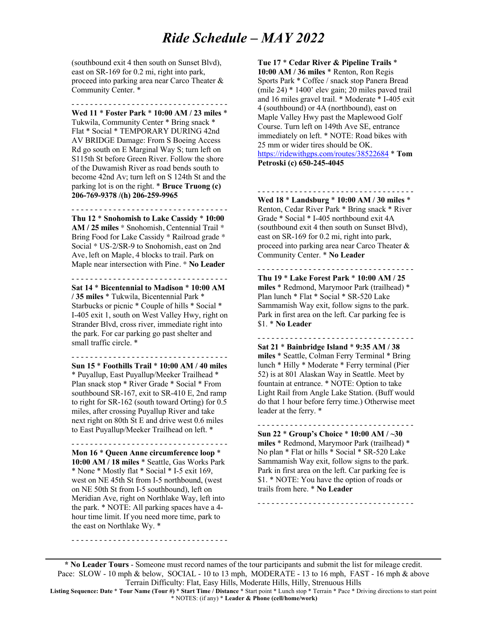(southbound exit 4 then south on Sunset Blvd), east on SR-169 for 0.2 mi, right into park, proceed into parking area near Carco Theater & Community Center. \*

- - - - - - - - - - - - - - - - - - - - - - - - - - - - - - - - - -

**Wed 11** \* **Foster Park** \* **10:00 AM / 23 miles** \* Tukwila, Community Center \* Bring snack \* Flat \* Social \* TEMPORARY DURING 42nd AV BRIDGE Damage: From S Boeing Access Rd go south on E Marginal Way S; turn left on S115th St before Green River. Follow the shore of the Duwamish River as road bends south to become 42nd Av; turn left on S 124th St and the parking lot is on the right. \* **Bruce Truong (c) 206-769-9378 /(h) 206-259-9965**

- - - - - - - - - - - - - - - - - - - - - - - - - - - - - - - - - - **Thu 12** \* **Snohomish to Lake Cassidy** \* **10:00 AM / 25 miles** \* Snohomish, Centennial Trail \* Bring Food for Lake Cassidy \* Railroad grade \* Social \* US-2/SR-9 to Snohomish, east on 2nd Ave, left on Maple, 4 blocks to trail. Park on Maple near intersection with Pine. \* **No Leader**

- - - - - - - - - - - - - - - - - - - - - - - - - - - - - - - - - -

**Sat 14** \* **Bicentennial to Madison** \* **10:00 AM / 35 miles** \* Tukwila, Bicentennial Park \* Starbucks or picnic \* Couple of hills \* Social \* I-405 exit 1, south on West Valley Hwy, right on Strander Blvd, cross river, immediate right into the park. For car parking go past shelter and small traffic circle. \*

- - - - - - - - - - - - - - - - - - - - - - - - - - - - - - - - - -

**Sun 15** \* **Foothills Trail** \* **10:00 AM / 40 miles** \* Puyallup, East Puyallup/Meeker Trailhead \* Plan snack stop \* River Grade \* Social \* From southbound SR-167, exit to SR-410 E, 2nd ramp to right for SR-162 (south toward Orting) for 0.5 miles, after crossing Puyallup River and take next right on 80th St E and drive west 0.6 miles to East Puyallup/Meeker Trailhead on left. \*

- - - - - - - - - - - - - - - - - - - - - - - - - - - - - - - - - -

**Mon 16** \* **Queen Anne circumference loop** \* **10:00 AM / 18 miles** \* Seattle, Gas Works Park \* None \* Mostly flat \* Social \* I-5 exit 169, west on NE 45th St from I-5 northbound, (west on NE 50th St from I-5 southbound), left on Meridian Ave, right on Northlake Way, left into the park. \* NOTE: All parking spaces have a 4 hour time limit. If you need more time, park to the east on Northlake Wy. \*

- - - - - - - - - - - - - - - - - - - - - - - - - - - - - - - - - -

**Tue 17** \* **Cedar River & Pipeline Trails** \* **10:00 AM / 36 miles** \* Renton, Ron Regis Sports Park \* Coffee / snack stop Panera Bread (mile 24) \* 1400' elev gain; 20 miles paved trail and 16 miles gravel trail. \* Moderate \* I-405 exit 4 (southbound) or 4A (northbound), east on Maple Valley Hwy past the Maplewood Golf Course. Turn left on 149th Ave SE, entrance immediately on left. \* NOTE: Road bikes with 25 mm or wider tires should be OK. https://ridewithgps.com/routes/38522684 \* **Tom Petroski (c) 650-245-4045**

- - - - - - - - - - - - - - - - - - - - - - - - - - - - - - - - - -

**Wed 18** \* **Landsburg** \* **10:00 AM / 30 miles** \* Renton, Cedar River Park \* Bring snack \* River Grade \* Social \* I-405 northbound exit 4A (southbound exit 4 then south on Sunset Blvd), east on SR-169 for 0.2 mi, right into park, proceed into parking area near Carco Theater & Community Center. \* **No Leader**

**Thu 19** \* **Lake Forest Park** \* **10:00 AM / 25 miles** \* Redmond, Marymoor Park (trailhead) \* Plan lunch \* Flat \* Social \* SR-520 Lake Sammamish Way exit, follow signs to the park. Park in first area on the left. Car parking fee is \$1. \* **No Leader**

- - - - - - - - - - - - - - - - - - - - - - - - - - - - - - - - - -

**Sat 21** \* **Bainbridge Island** \* **9:35 AM / 38 miles** \* Seattle, Colman Ferry Terminal \* Bring lunch \* Hilly \* Moderate \* Ferry terminal (Pier 52) is at 801 Alaskan Way in Seattle. Meet by fountain at entrance. \* NOTE: Option to take Light Rail from Angle Lake Station. (Buff would do that 1 hour before ferry time.) Otherwise meet leader at the ferry. \*

- - - - - - - - - - - - - - - - - - - - - - - - - - - - - - - - - -

**Sun 22** \* **Group's Choice** \* **10:00 AM / ~30 miles** \* Redmond, Marymoor Park (trailhead) \* No plan \* Flat or hills \* Social \* SR-520 Lake Sammamish Way exit, follow signs to the park. Park in first area on the left. Car parking fee is \$1. \* NOTE: You have the option of roads or trails from here. \* **No Leader**

- - - - - - - - - - - - - - - - - - - - - - - - - - - - - - - - - -

- - - - - - - - - - - - - - - - - - - - - - - - - - - - - - - - - -

**\* No Leader Tours** - Someone must record names of the tour participants and submit the list for mileage credit. Pace: SLOW - 10 mph & below, SOCIAL - 10 to 13 mph, MODERATE - 13 to 16 mph, FAST - 16 mph & above Terrain Difficulty: Flat, Easy Hills, Moderate Hills, Hilly, Strenuous Hills

**Listing Sequence: Date** \* **Tour Name (Tour #)** \* **Start Time / Distance** \* Start point \* Lunch stop \* Terrain \* Pace \* Driving directions to start point \* NOTES: (if any) \* **Leader & Phone (cell/home/work)**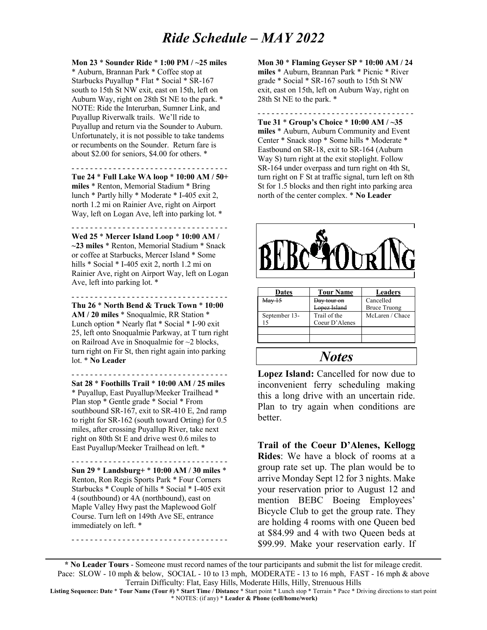**Mon 23** \* **Sounder Ride** \* **1:00 PM / ~25 miles** \* Auburn, Brannan Park \* Coffee stop at Starbucks Puyallup \* Flat \* Social \* SR-167 south to 15th St NW exit, east on 15th, left on Auburn Way, right on 28th St NE to the park. \* NOTE: Ride the Interurban, Sumner Link, and Puyallup Riverwalk trails. We'll ride to Puyallup and return via the Sounder to Auburn. Unfortunately, it is not possible to take tandems or recumbents on the Sounder. Return fare is about \$2.00 for seniors, \$4.00 for others. \*

- - - - - - - - - - - - - - - - - - - - - - - - - - - - - - - - - - **Tue 24** \* **Full Lake WA loop** \* **10:00 AM / 50+ miles** \* Renton, Memorial Stadium \* Bring lunch \* Partly hilly \* Moderate \* I-405 exit 2, north 1.2 mi on Rainier Ave, right on Airport Way, left on Logan Ave, left into parking lot. \*

- - - - - - - - - - - - - - - - - - - - - - - - - - - - - - - - - - **Wed 25** \* **Mercer Island Loop** \* **10:00 AM / ~23 miles** \* Renton, Memorial Stadium \* Snack or coffee at Starbucks, Mercer Island \* Some hills \* Social \* I-405 exit 2, north 1.2 mi on Rainier Ave, right on Airport Way, left on Logan Ave, left into parking lot. \*

- - - - - - - - - - - - - - - - - - - - - - - - - - - - - - - - - -

**Thu 26** \* **North Bend & Truck Town** \* **10:00 AM / 20 miles** \* Snoqualmie, RR Station \* Lunch option \* Nearly flat \* Social \* I-90 exit 25, left onto Snoqualmie Parkway, at T turn right on Railroad Ave in Snoqualmie for ~2 blocks, turn right on Fir St, then right again into parking lot. \* **No Leader**

- - - - - - - - - - - - - - - - - - - - - - - - - - - - - - - - - - **Sat 28** \* **Foothills Trail** \* **10:00 AM / 25 miles** \* Puyallup, East Puyallup/Meeker Trailhead \* Plan stop \* Gentle grade \* Social \* From southbound SR-167, exit to SR-410 E, 2nd ramp to right for SR-162 (south toward Orting) for 0.5 miles, after crossing Puyallup River, take next right on 80th St E and drive west 0.6 miles to East Puyallup/Meeker Trailhead on left. \*

- - - - - - - - - - - - - - - - - - - - - - - - - - - - - - - - - - **Sun 29** \* **Landsburg+** \* **10:00 AM / 30 miles** \* Renton, Ron Regis Sports Park \* Four Corners Starbucks \* Couple of hills \* Social \* I-405 exit 4 (southbound) or 4A (northbound), east on Maple Valley Hwy past the Maplewood Golf Course. Turn left on 149th Ave SE, entrance immediately on left. \*

- - - - - - - - - - - - - - - - - - - - - - - - - - - - - - - - - -

**Mon 30** \* **Flaming Geyser SP** \* **10:00 AM / 24 miles** \* Auburn, Brannan Park \* Picnic \* River grade \* Social \* SR-167 south to 15th St NW exit, east on 15th, left on Auburn Way, right on 28th St NE to the park. \*

- - - - - - - - - - - - - - - - - - - - - - - - - - - - - - - - - - **Tue 31** \* **Group's Choice** \* **10:00 AM / ~35 miles** \* Auburn, Auburn Community and Event Center \* Snack stop \* Some hills \* Moderate \* Eastbound on SR-18, exit to SR-164 (Auburn Way S) turn right at the exit stoplight. Follow SR-164 under overpass and turn right on 4th St, turn right on F St at traffic signal, turn left on 8th St for 1.5 blocks and then right into parking area north of the center complex. \* **No Leader**



| <b>Dates</b>      | <b>Tour Name</b> | <b>Leaders</b>      |
|-------------------|------------------|---------------------|
| Mav <sub>15</sub> | Dav tour on      | Cancelled           |
|                   | anez Island      | <b>Bruce Truong</b> |
| September 13-     | Trail of the     | McLaren / Chace     |
| 15                | Coeur D'Alenes   |                     |
|                   |                  |                     |
|                   |                  |                     |
|                   |                  |                     |
|                   | <b>Notes</b>     |                     |

**Lopez Island:** Cancelled for now due to inconvenient ferry scheduling making this a long drive with an uncertain ride. Plan to try again when conditions are better.

**Trail of the Coeur D'Alenes, Kellogg Rides**: We have a block of rooms at a group rate set up. The plan would be to arrive Monday Sept 12 for 3 nights. Make your reservation prior to August 12 and mention BEBC Boeing Employees' Bicycle Club to get the group rate. They are holding 4 rooms with one Queen bed at \$84.99 and 4 with two Queen beds at \$99.99. Make your reservation early. If

**\* No Leader Tours** - Someone must record names of the tour participants and submit the list for mileage credit. Pace: SLOW - 10 mph & below, SOCIAL - 10 to 13 mph, MODERATE - 13 to 16 mph, FAST - 16 mph & above Terrain Difficulty: Flat, Easy Hills, Moderate Hills, Hilly, Strenuous Hills

**Listing Sequence: Date** \* **Tour Name (Tour #)** \* **Start Time / Distance** \* Start point \* Lunch stop \* Terrain \* Pace \* Driving directions to start point \* NOTES: (if any) \* **Leader & Phone (cell/home/work)**